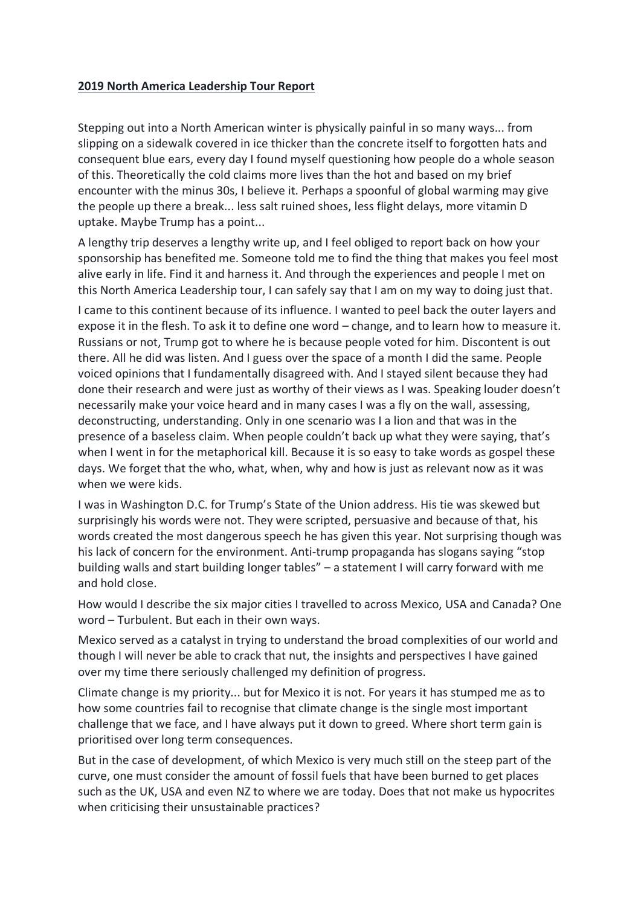## **2019 North America Leadership Tour Report**

Stepping out into a North American winter is physically painful in so many ways... from slipping on a sidewalk covered in ice thicker than the concrete itself to forgotten hats and consequent blue ears, every day I found myself questioning how people do a whole season of this. Theoretically the cold claims more lives than the hot and based on my brief encounter with the minus 30s, I believe it. Perhaps a spoonful of global warming may give the people up there a break... less salt ruined shoes, less flight delays, more vitamin D uptake. Maybe Trump has a point...

A lengthy trip deserves a lengthy write up, and I feel obliged to report back on how your sponsorship has benefited me. Someone told me to find the thing that makes you feel most alive early in life. Find it and harness it. And through the experiences and people I met on this North America Leadership tour, I can safely say that I am on my way to doing just that.

I came to this continent because of its influence. I wanted to peel back the outer layers and expose it in the flesh. To ask it to define one word – change, and to learn how to measure it. Russians or not, Trump got to where he is because people voted for him. Discontent is out there. All he did was listen. And I guess over the space of a month I did the same. People voiced opinions that I fundamentally disagreed with. And I stayed silent because they had done their research and were just as worthy of their views as I was. Speaking louder doesn't necessarily make your voice heard and in many cases I was a fly on the wall, assessing, deconstructing, understanding. Only in one scenario was I a lion and that was in the presence of a baseless claim. When people couldn't back up what they were saying, that's when I went in for the metaphorical kill. Because it is so easy to take words as gospel these days. We forget that the who, what, when, why and how is just as relevant now as it was when we were kids.

I was in Washington D.C. for Trump's State of the Union address. His tie was skewed but surprisingly his words were not. They were scripted, persuasive and because of that, his words created the most dangerous speech he has given this year. Not surprising though was his lack of concern for the environment. Anti-trump propaganda has slogans saying "stop building walls and start building longer tables" – a statement I will carry forward with me and hold close.

How would I describe the six major cities I travelled to across Mexico, USA and Canada? One word – Turbulent. But each in their own ways.

Mexico served as a catalyst in trying to understand the broad complexities of our world and though I will never be able to crack that nut, the insights and perspectives I have gained over my time there seriously challenged my definition of progress.

Climate change is my priority... but for Mexico it is not. For years it has stumped me as to how some countries fail to recognise that climate change is the single most important challenge that we face, and I have always put it down to greed. Where short term gain is prioritised over long term consequences.

But in the case of development, of which Mexico is very much still on the steep part of the curve, one must consider the amount of fossil fuels that have been burned to get places such as the UK, USA and even NZ to where we are today. Does that not make us hypocrites when criticising their unsustainable practices?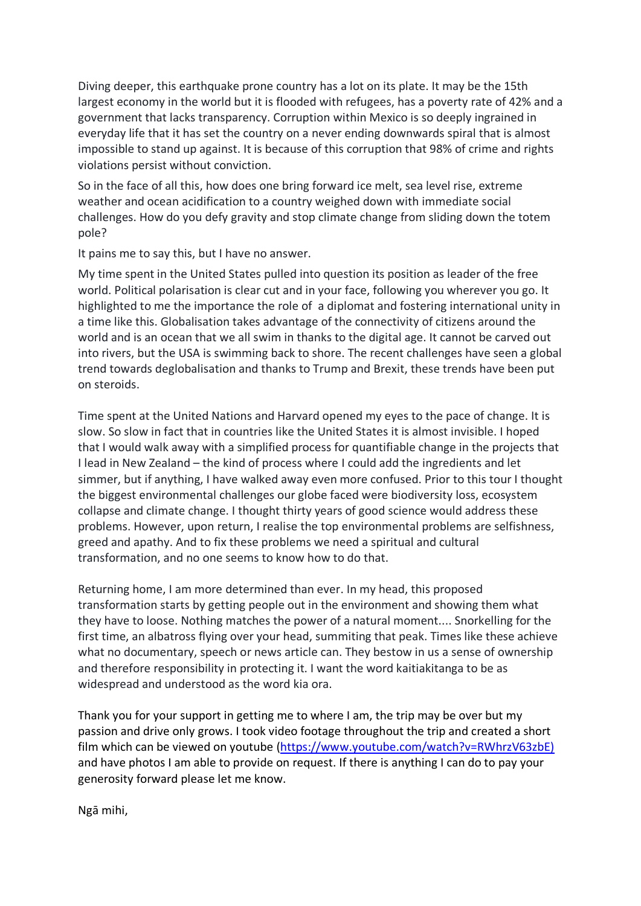Diving deeper, this earthquake prone country has a lot on its plate. It may be the 15th largest economy in the world but it is flooded with refugees, has a poverty rate of 42% and a government that lacks transparency. Corruption within Mexico is so deeply ingrained in everyday life that it has set the country on a never ending downwards spiral that is almost impossible to stand up against. It is because of this corruption that 98% of crime and rights violations persist without conviction.

So in the face of all this, how does one bring forward ice melt, sea level rise, extreme weather and ocean acidification to a country weighed down with immediate social challenges. How do you defy gravity and stop climate change from sliding down the totem pole?

It pains me to say this, but I have no answer.

My time spent in the United States pulled into question its position as leader of the free world. Political polarisation is clear cut and in your face, following you wherever you go. It highlighted to me the importance the role of a diplomat and fostering international unity in a time like this. Globalisation takes advantage of the connectivity of citizens around the world and is an ocean that we all swim in thanks to the digital age. It cannot be carved out into rivers, but the USA is swimming back to shore. The recent challenges have seen a global trend towards deglobalisation and thanks to Trump and Brexit, these trends have been put on steroids.

Time spent at the United Nations and Harvard opened my eyes to the pace of change. It is slow. So slow in fact that in countries like the United States it is almost invisible. I hoped that I would walk away with a simplified process for quantifiable change in the projects that I lead in New Zealand – the kind of process where I could add the ingredients and let simmer, but if anything, I have walked away even more confused. Prior to this tour I thought the biggest environmental challenges our globe faced were biodiversity loss, ecosystem collapse and climate change. I thought thirty years of good science would address these problems. However, upon return, I realise the top environmental problems are selfishness, greed and apathy. And to fix these problems we need a spiritual and cultural transformation, and no one seems to know how to do that.

Returning home, I am more determined than ever. In my head, this proposed transformation starts by getting people out in the environment and showing them what they have to loose. Nothing matches the power of a natural moment.... Snorkelling for the first time, an albatross flying over your head, summiting that peak. Times like these achieve what no documentary, speech or news article can. They bestow in us a sense of ownership and therefore responsibility in protecting it. I want the word kaitiakitanga to be as widespread and understood as the word kia ora.

Thank you for your support in getting me to where I am, the trip may be over but my passion and drive only grows. I took video footage throughout the trip and created a short film which can be viewed on youtube (https://www.youtube.com/watch?v=RWhrzV63zbE) and have photos I am able to provide on request. If there is anything I can do to pay your generosity forward please let me know.

Ngā mihi,